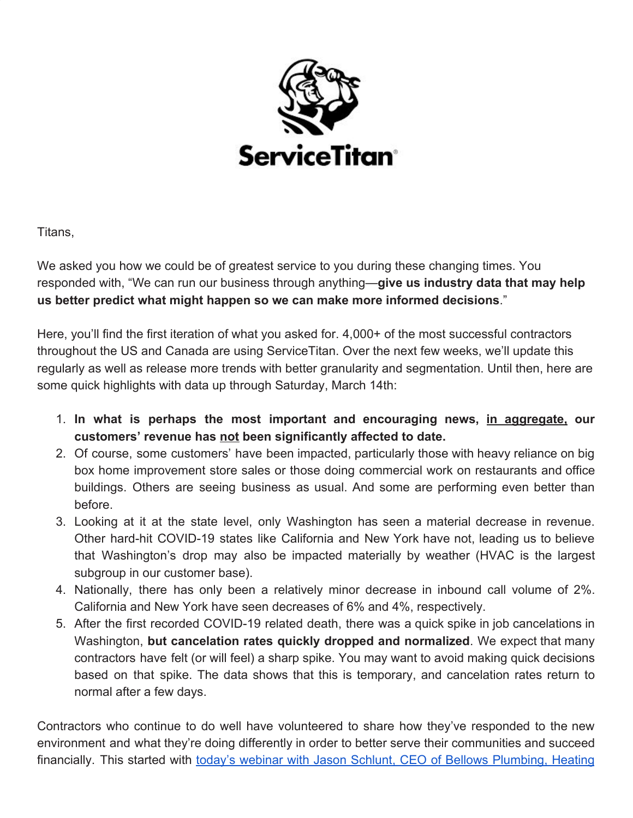

Titans,

We asked you how we could be of greatest service to you during these changing times. You responded with, "We can run our business through anything—**give us industry data that may help us better predict what might happen so we can make more informed decisions**."

Here, you'll find the first iteration of what you asked for. 4,000+ of the most successful contractors throughout the US and Canada are using ServiceTitan. Over the next few weeks, we'll update this regularly as well as release more trends with better granularity and segmentation. Until then, here are some quick highlights with data up through Saturday, March 14th:

- 1. **In what is perhaps the most important and encouraging news, in aggregate, our customers' revenue has not been significantly affected to date.**
- 2. Of course, some customers' have been impacted, particularly those with heavy reliance on big box home improvement store sales or those doing commercial work on restaurants and office buildings. Others are seeing business as usual. And some are performing even better than before.
- 3. Looking at it at the state level, only Washington has seen a material decrease in revenue. Other hard-hit COVID-19 states like California and New York have not, leading us to believe that Washington's drop may also be impacted materially by weather (HVAC is the largest subgroup in our customer base).
- 4. Nationally, there has only been a relatively minor decrease in inbound call volume of 2%. California and New York have seen decreases of 6% and 4%, respectively.
- 5. After the first recorded COVID-19 related death, there was a quick spike in job cancelations in Washington, **but cancelation rates quickly dropped and normalized**. We expect that many contractors have felt (or will feel) a sharp spike. You may want to avoid making quick decisions based on that spike. The data shows that this is temporary, and cancelation rates return to normal after a few days.

Contractors who continue to do well have volunteered to share how they've responded to the new environment and what they're doing differently in order to better serve their communities and succeed financially. This started with today's webinar with Jason Schlunt, CEO of Bellows [Plumbing,](https://www.servicetitan.com/coronavirus/webinar-recap-jason-schlunt) Heating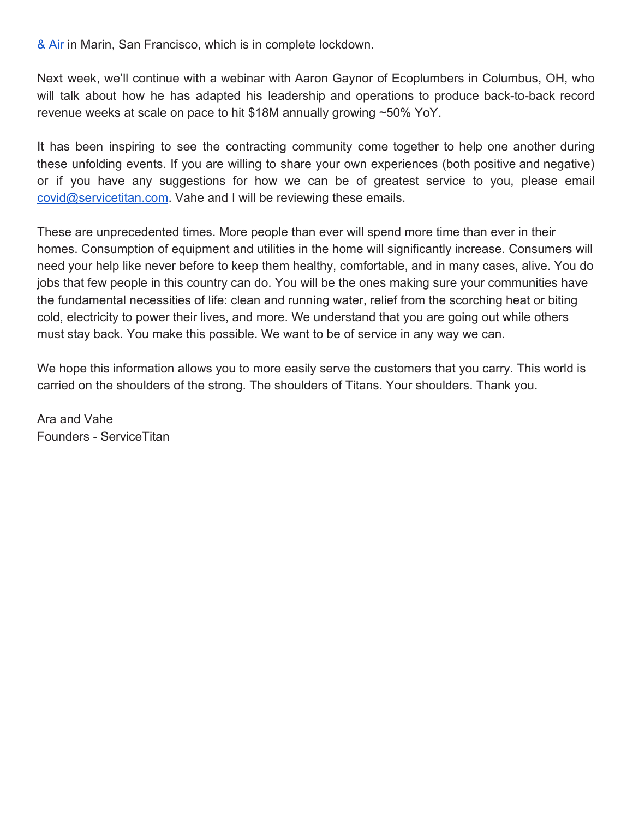[& Air](https://www.servicetitan.com/coronavirus/webinar-recap-jason-schlunt) in Marin, San Francisco, which is in complete lockdown.

Next week, we'll continue with a webinar with Aaron Gaynor of Ecoplumbers in Columbus, OH, who will talk about how he has adapted his leadership and operations to produce back-to-back record revenue weeks at scale on pace to hit \$18M annually growing ~50% YoY.

It has been inspiring to see the contracting community come together to help one another during these unfolding events. If you are willing to share your own experiences (both positive and negative) or if you have any suggestions for how we can be of greatest service to you, please email [covid@servicetitan.com.](mailto:covid@servicetitan.com) Vahe and I will be reviewing these emails.

These are unprecedented times. More people than ever will spend more time than ever in their homes. Consumption of equipment and utilities in the home will significantly increase. Consumers will need your help like never before to keep them healthy, comfortable, and in many cases, alive. You do jobs that few people in this country can do. You will be the ones making sure your communities have the fundamental necessities of life: clean and running water, relief from the scorching heat or biting cold, electricity to power their lives, and more. We understand that you are going out while others must stay back. You make this possible. We want to be of service in any way we can.

We hope this information allows you to more easily serve the customers that you carry. This world is carried on the shoulders of the strong. The shoulders of Titans. Your shoulders. Thank you.

Ara and Vahe Founders - ServiceTitan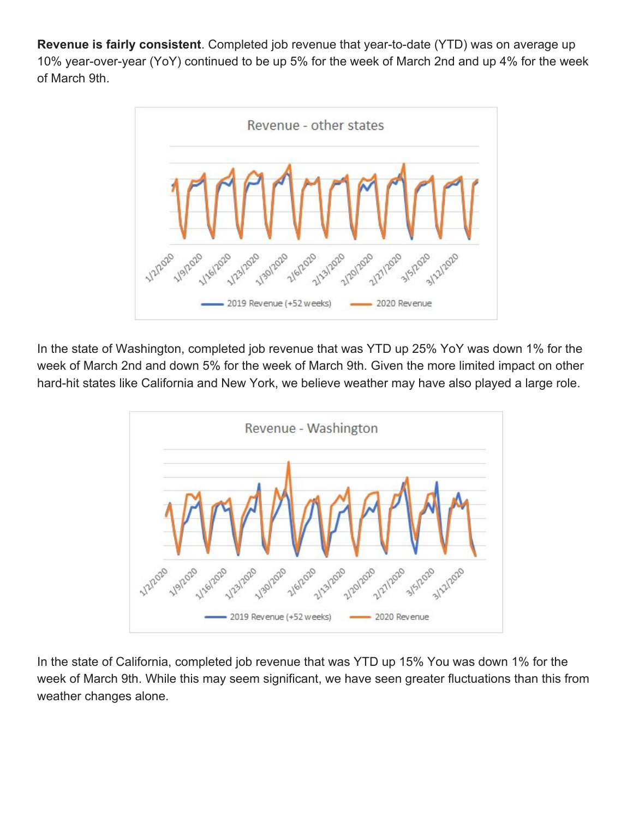**Revenue is fairly consistent**. Completed job revenue that year-to-date (YTD) was on average up 10% year-over-year (YoY) continued to be up 5% for the week of March 2nd and up 4% for the week of March 9th.



In the state of Washington, completed job revenue that was YTD up 25% YoY was down 1% for the week of March 2nd and down 5% for the week of March 9th. Given the more limited impact on other hard-hit states like California and New York, we believe weather may have also played a large role.



In the state of California, completed job revenue that was YTD up 15% You was down 1% for the week of March 9th. While this may seem significant, we have seen greater fluctuations than this from weather changes alone.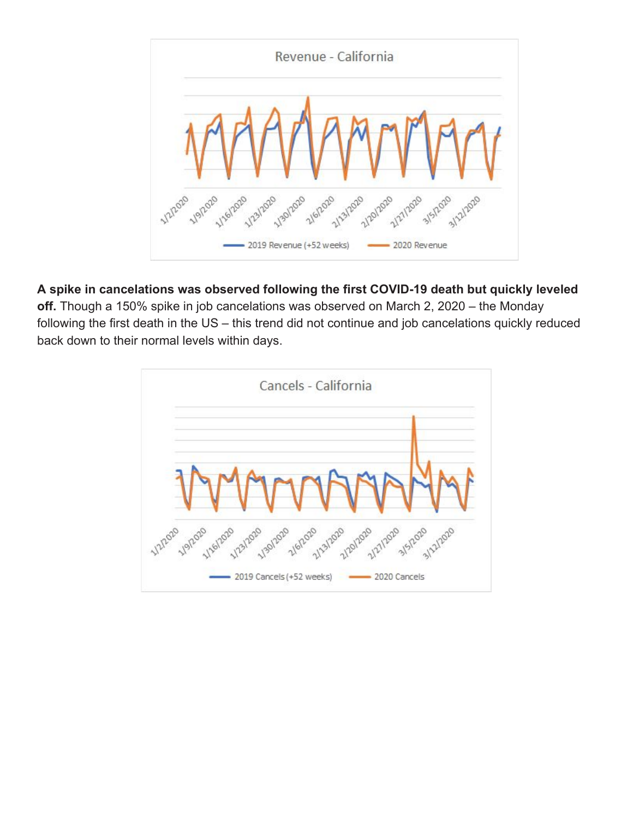

## **A spike in cancelations was observed following the first COVID-19 death but quickly leveled**

**off.** Though a 150% spike in job cancelations was observed on March 2, 2020 – the Monday following the first death in the US – this trend did not continue and job cancelations quickly reduced back down to their normal levels within days.

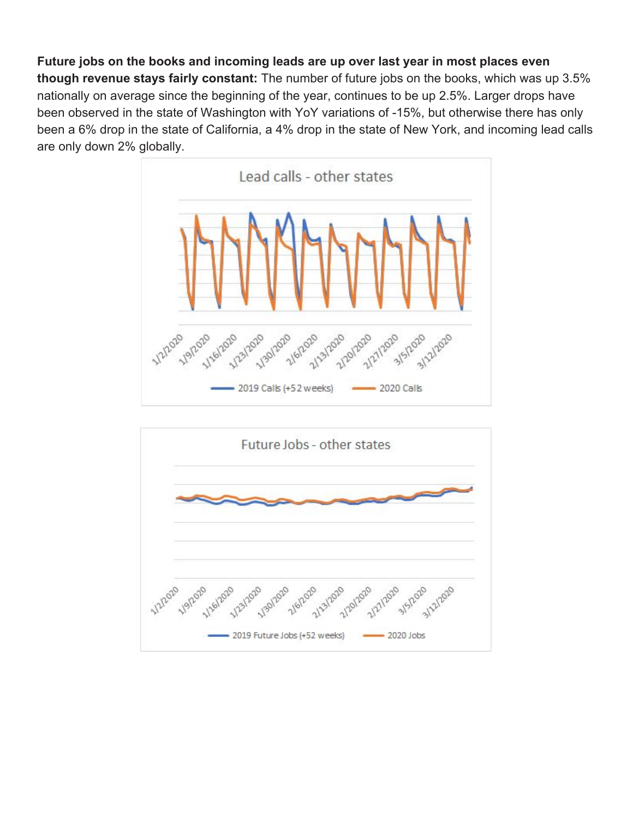**Future jobs on the books and incoming leads are up over last year in most places even though revenue stays fairly constant:** The number of future jobs on the books, which was up 3.5% nationally on average since the beginning of the year, continues to be up 2.5%. Larger drops have been observed in the state of Washington with YoY variations of -15%, but otherwise there has only been a 6% drop in the state of California, a 4% drop in the state of New York, and incoming lead calls are only down 2% globally.



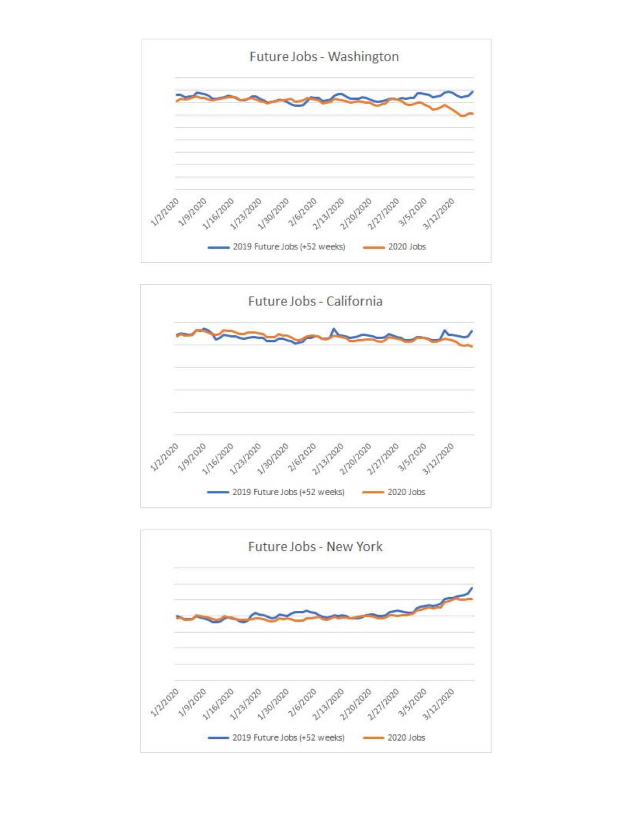